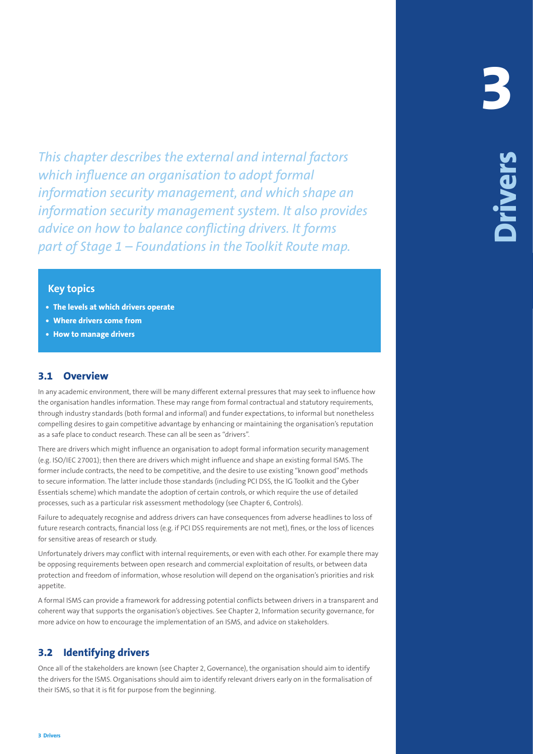This chosen declines the external and intention factors<br>above the external and the state of the state of the state of the state of<br>externe interest to the state of the state of the state of the state<br>of the state of the st *This chapter describes the external and internal factors which influence an organisation to adopt formal information security management, and which shape an information security management system. It also provides advice on how to balance conflicting drivers. It forms part of Stage 1 – Foundations in the Toolkit Route map.*

#### **Key topics**

- **• The levels at which drivers operate**
- **• Where drivers come from**
- **• How to manage drivers**

### **3.1 Overview**

In any academic environment, there will be many different external pressures that may seek to influence how the organisation handles information. These may range from formal contractual and statutory requirements, through industry standards (both formal and informal) and funder expectations, to informal but nonetheless compelling desires to gain competitive advantage by enhancing or maintaining the organisation's reputation as a safe place to conduct research. These can all be seen as "drivers".

There are drivers which might influence an organisation to adopt formal information security management (e.g. ISO/IEC 27001); then there are drivers which might influence and shape an existing formal ISMS. The former include contracts, the need to be competitive, and the desire to use existing "known good" methods to secure information. The latter include those standards (including PCI DSS, the IG Toolkit and the Cyber Essentials scheme) which mandate the adoption of certain controls, or which require the use of detailed processes, such as a particular risk assessment methodology (see Chapter 6, Controls).

Failure to adequately recognise and address drivers can have consequences from adverse headlines to loss of future research contracts, financial loss (e.g. if PCI DSS requirements are not met), fines, or the loss of licences for sensitive areas of research or study.

Unfortunately drivers may conflict with internal requirements, or even with each other. For example there may be opposing requirements between open research and commercial exploitation of results, or between data protection and freedom of information, whose resolution will depend on the organisation's priorities and risk appetite.

A formal ISMS can provide a framework for addressing potential conflicts between drivers in a transparent and coherent way that supports the organisation's objectives. See Chapter 2, Information security governance, for more advice on how to encourage the implementation of an ISMS, and advice on stakeholders.

## **3.2 Identifying drivers**

Once all of the stakeholders are known (see Chapter 2, Governance), the organisation should aim to identify the drivers for the ISMS. Organisations should aim to identify relevant drivers early on in the formalisation of their ISMS, so that it is fit for purpose from the beginning.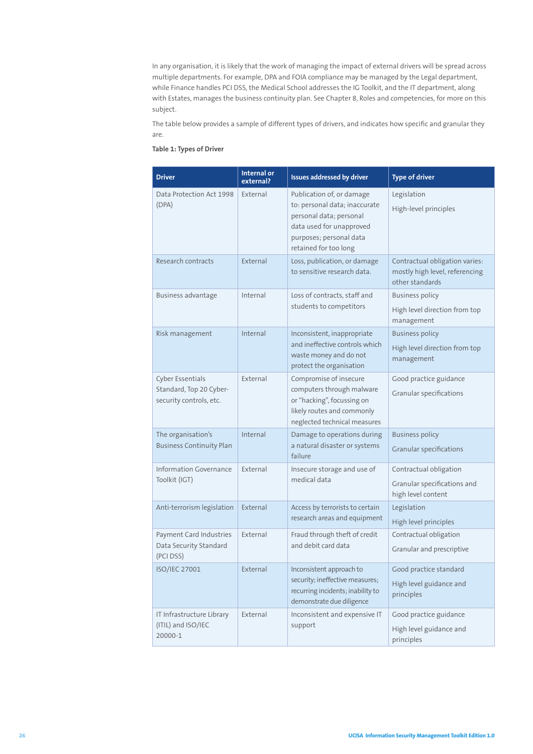In any organisation, it is likely that the work of managing the impact of external drivers will be spread across multiple departments. For example, DPA and FOIA compliance may be managed by the Legal department, while Finance handles PCI DSS, the Medical School addresses the IG Toolkit, and the IT department, along with Estates, manages the business continuity plan. See Chapter 8, Roles and competencies, for more on this subject.

The table below provides a sample of different types of drivers, and indicates how specific and granular they are.

#### **Table 1: Types of Driver**

| <b>Driver</b>                                                                 | <b>Internal or</b><br>external? | <b>Issues addressed by driver</b>                                                                                                                                     | <b>Type of driver</b>                                                               |
|-------------------------------------------------------------------------------|---------------------------------|-----------------------------------------------------------------------------------------------------------------------------------------------------------------------|-------------------------------------------------------------------------------------|
| Data Protection Act 1998<br>(DPA)                                             | External                        | Publication of, or damage<br>to: personal data; inaccurate<br>personal data; personal<br>data used for unapproved<br>purposes; personal data<br>retained for too long | Legislation<br>High-level principles                                                |
| Research contracts                                                            | External                        | Loss, publication, or damage<br>to sensitive research data.                                                                                                           | Contractual obligation varies:<br>mostly high level, referencing<br>other standards |
| Business advantage                                                            | Internal                        | Loss of contracts, staff and<br>students to competitors                                                                                                               | <b>Business policy</b><br>High level direction from top<br>management               |
| Risk management                                                               | Internal                        | Inconsistent, inappropriate<br>and ineffective controls which<br>waste money and do not<br>protect the organisation                                                   | <b>Business policy</b><br>High level direction from top<br>management               |
| <b>Cyber Essentials</b><br>Standard, Top 20 Cyber-<br>security controls, etc. | External                        | Compromise of insecure<br>computers through malware<br>or "hacking", focussing on<br>likely routes and commonly<br>neglected technical measures                       | Good practice guidance<br>Granular specifications                                   |
| The organisation's<br><b>Business Continuity Plan</b>                         | Internal                        | Damage to operations during<br>a natural disaster or systems<br>failure                                                                                               | <b>Business policy</b><br>Granular specifications                                   |
| <b>Information Governance</b><br>Toolkit (IGT)                                | External                        | Insecure storage and use of<br>medical data                                                                                                                           | Contractual obligation<br>Granular specifications and<br>high level content         |
| Anti-terrorism legislation                                                    | External                        | Access by terrorists to certain<br>research areas and equipment                                                                                                       | Legislation<br>High level principles                                                |
| Payment Card Industries<br>Data Security Standard<br>(PCI DSS)                | External                        | Fraud through theft of credit<br>and debit card data                                                                                                                  | Contractual obligation<br>Granular and prescriptive                                 |
| ISO/IEC 27001                                                                 | External                        | Inconsistent approach to<br>security; ineffective measures;<br>recurring incidents; inability to<br>demonstrate due diligence                                         | Good practice standard<br>High level guidance and<br>principles                     |
| IT Infrastructure Library<br>(ITIL) and ISO/IEC<br>20000-1                    | External                        | Inconsistent and expensive IT<br>support                                                                                                                              | Good practice guidance<br>High level guidance and<br>principles                     |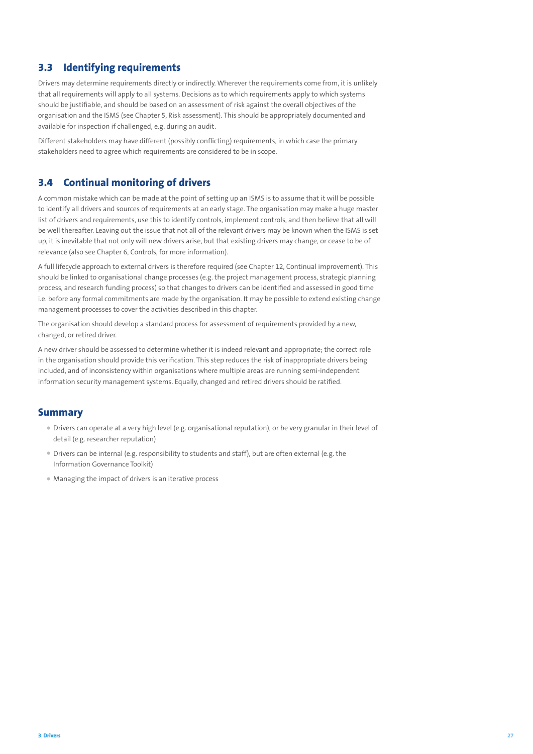## **3.3 Identifying requirements**

Drivers may determine requirements directly or indirectly. Wherever the requirements come from, it is unlikely that all requirements will apply to all systems. Decisions as to which requirements apply to which systems should be justifiable, and should be based on an assessment of risk against the overall objectives of the organisation and the ISMS (see Chapter 5, Risk assessment). This should be appropriately documented and available for inspection if challenged, e.g. during an audit.

Different stakeholders may have different (possibly conflicting) requirements, in which case the primary stakeholders need to agree which requirements are considered to be in scope.

### **3.4 Continual monitoring of drivers**

A common mistake which can be made at the point of setting up an ISMS is to assume that it will be possible to identify all drivers and sources of requirements at an early stage. The organisation may make a huge master list of drivers and requirements, use this to identify controls, implement controls, and then believe that all will be well thereafter. Leaving out the issue that not all of the relevant drivers may be known when the ISMS is set up, it is inevitable that not only will new drivers arise, but that existing drivers may change, or cease to be of relevance (also see Chapter 6, Controls, for more information).

A full lifecycle approach to external drivers is therefore required (see Chapter 12, Continual improvement). This should be linked to organisational change processes (e.g. the project management process, strategic planning process, and research funding process) so that changes to drivers can be identified and assessed in good time i.e. before any formal commitments are made by the organisation. It may be possible to extend existing change management processes to cover the activities described in this chapter.

The organisation should develop a standard process for assessment of requirements provided by a new, changed, or retired driver.

A new driver should be assessed to determine whether it is indeed relevant and appropriate; the correct role in the organisation should provide this verification. This step reduces the risk of inappropriate drivers being included, and of inconsistency within organisations where multiple areas are running semi-independent information security management systems. Equally, changed and retired drivers should be ratified.

#### **Summary**

- Drivers can operate at a very high level (e.g. organisational reputation), or be very granular in their level of detail (e.g. researcher reputation)
- Drivers can be internal (e.g. responsibility to students and staff), but are often external (e.g. the Information Governance Toolkit)
- Managing the impact of drivers is an iterative process